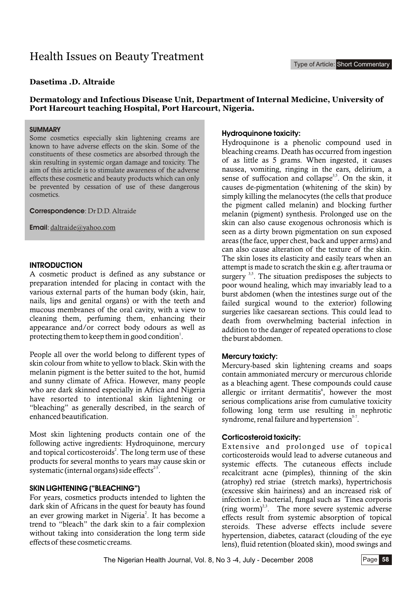# Health Issues on Beauty Treatment

## **Dasetima .D. Altraide**

## **Dermatology and Infectious Disease Unit, Department of Internal Medicine, University of Port Harcourt teaching Hospital, Port Harcourt, Nigeria.**

#### **SUMMARY**

Some cosmetics especially skin lightening creams are known to have adverse effects on the skin. Some of the constituents of these cosmetics are absorbed through the skin resulting in systemic organ damage and toxicity. The aim of this article is to stimulate awareness of the adverse effects these cosmetic and beauty products which can only be prevented by cessation of use of these dangerous cosmetics.

**Correspondence**: Dr D.D. Altraide

**Email**: daltraide@yahoo.com

## **INTRODUCTION**

A cosmetic product is defined as any substance or preparation intended for placing in contact with the various external parts of the human body (skin, hair, nails, lips and genital organs) or with the teeth and mucous membranes of the oral cavity, with a view to cleaning them, perfuming them, enhancing their appearance and/or correct body odours as well as protecting them to keep them in good condition<sup>1</sup>.

People all over the world belong to different types of skin colour from white to yellow to black. Skin with the melanin pigment is the better suited to the hot, humid and sunny climate of Africa. However, many people who are dark skinned especially in Africa and Nigeria have resorted to intentional skin lightening or "bleaching" as generally described, in the search of enhanced beautification.

Most skin lightening products contain one of the following active ingredients: Hydroquinone, mercury and topical corticosteroids<sup>2</sup>. The long term use of these products for several months to years may cause skin or systematic (internal organs) side effects $25$ .

#### **SKIN LIGHTENING ("BLEACHING")**

For years, cosmetics products intended to lighten the dark skin of Africans in the quest for beauty has found an ever growing market in Nigeria<sup>2</sup>. It has become a trend to "bleach" the dark skin to a fair complexion without taking into consideration the long term side effects of these cosmetic creams.

#### **Hydroquinone toxicity:**

Hydroquinone is a phenolic compound used in bleaching creams. Death has occurred from ingestion of as little as 5 grams. When ingested, it causes nausea, vomiting, ringing in the ears, delirium, a sense of suffocation and collapse<sup> $3,5$ </sup>. On the skin, it causes de-pigmentation (whitening of the skin) by simply killing the melanocytes (the cells that produce the pigment called melanin) and blocking further melanin (pigment) synthesis. Prolonged use on the skin can also cause exogenous ochronosis which is seen as a dirty brown pigmentation on sun exposed areas (the face, upper chest, back and upper arms) and can also cause alteration of the texture of the skin. The skin loses its elasticity and easily tears when an attempt is made to scratch the skin e.g. after trauma or surgery  $3,5$ . The situation predisposes the subjects to poor wound healing, which may invariably lead to a burst abdomen (when the intestines surge out of the failed surgical wound to the exterior) following surgeries like caesarean sections. This could lead to death from overwhelming bacterial infection in addition to the danger of repeated operations to close the burst abdomen.

#### **Mercury toxicty:**

Mercury-based skin lightening creams and soaps contain ammoniated mercury or mercurous chloride as a bleaching agent. These compounds could cause allergic or irritant dermatitis<sup>6</sup>, however the most serious complications arise from cumulative toxicity following long term use resulting in nephrotic syndrome, renal failure and hypertension $5-7$ .

#### **Corticosteroid toxicity:**

Extensive and prolonged use of topical corticosteroids would lead to adverse cutaneous and systemic effects. The cutaneous effects include recalcitrant acne (pimples), thinning of the skin (atrophy) red striae (stretch marks), hypertrichosis (excessive skin hairiness) and an increased risk of infection i.e. bacterial, fungal such as Tinea corporis (ring worm)<sup> $2,3$ </sup>. The more severe systemic adverse effects result from systemic absorption of topical steroids. These adverse effects include severe hypertension, diabetes, cataract (clouding of the eye lens), fluid retention (bloated skin), mood swings and